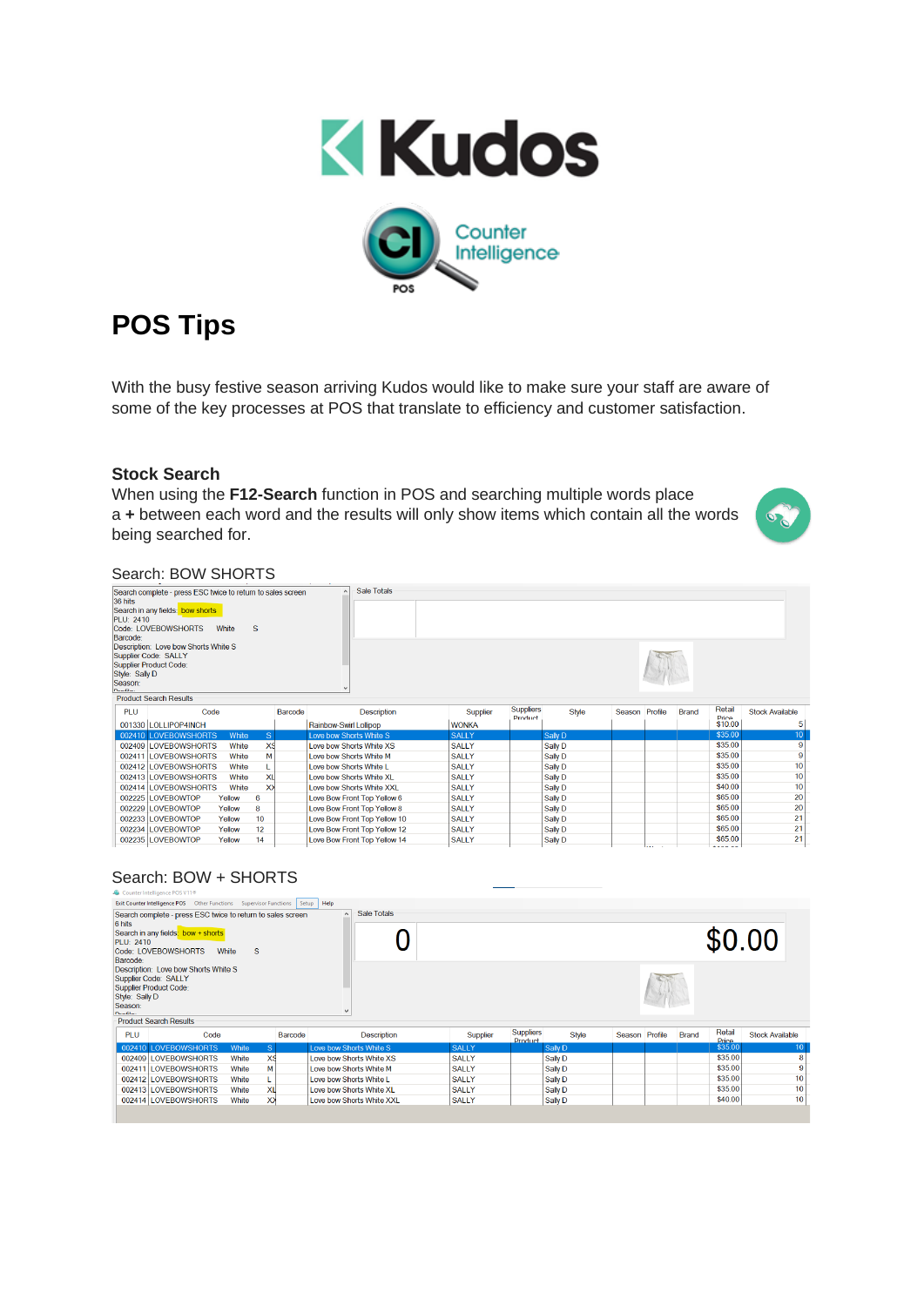



# **POS Tips**

With the busy festive season arriving Kudos would like to make sure your staff are aware of some of the key processes at POS that translate to efficiency and customer satisfaction.

### **Stock Search**

When using the **F12-Search** function in POS and searching multiple words place a **+** between each word and the results will only show items which contain all the words being searched for.



# Search: BOW SHORTS

| 36 hits<br>PLU: 2410<br>Barcode:<br>Style: Sally D<br>Season:<br>Deafile. | Search complete - press ESC twice to return to sales screen<br>Search in any fields: bow shorts<br>Code: LOVEBOWSHORTS<br>Description: Love bow Shorts White S<br>Supplier Code: SALLY<br>Supplier Product Code: | White       | S            |                                    |                          | <b>Sale Totals</b>           |                |  |              |                 |                        |                    |    |         |    |
|---------------------------------------------------------------------------|------------------------------------------------------------------------------------------------------------------------------------------------------------------------------------------------------------------|-------------|--------------|------------------------------------|--------------------------|------------------------------|----------------|--|--------------|-----------------|------------------------|--------------------|----|---------|----|
|                                                                           | <b>Product Search Results</b>                                                                                                                                                                                    |             |              |                                    |                          |                              |                |  |              |                 |                        |                    |    |         |    |
| PLU<br>Code<br>Barcode                                                    |                                                                                                                                                                                                                  | Description | Supplier     | <b>Suppliers</b><br><b>Product</b> |                          | <b>Style</b>                 | Season Profile |  | <b>Brand</b> | Retail<br>Prine | <b>Stock Available</b> |                    |    |         |    |
|                                                                           | 001330 LOLLIPOP4INCH                                                                                                                                                                                             |             |              |                                    | Rainbow-Swirl Lollipop   |                              | <b>WONKA</b>   |  |              |                 |                        |                    |    | \$10.00 | 5  |
|                                                                           | 002410 LOVEBOWSHORTS                                                                                                                                                                                             | White       | <sub>S</sub> |                                    | Love bow Shorts White S  |                              | <b>SALLY</b>   |  | Sally D      |                 |                        |                    |    | \$35.00 | 10 |
|                                                                           | 002409 LOVEBOWSHORTS                                                                                                                                                                                             | White       | XS           |                                    | Love bow Shorts White XS |                              | <b>SALLY</b>   |  | Sally D      |                 |                        |                    |    | \$35.00 | 9  |
|                                                                           | 002411 LOVEBOWSHORTS                                                                                                                                                                                             | White       | м            |                                    | Love how Shorts White M  |                              | <b>SALLY</b>   |  | Sally D      |                 |                        |                    |    | \$35.00 | 9  |
|                                                                           | 002412 LOVEBOWSHORTS                                                                                                                                                                                             | White       |              |                                    | Love bow Shorts White L  |                              | <b>SALLY</b>   |  | Sally D      |                 |                        |                    |    | \$35.00 | 10 |
|                                                                           | 002413 LOVEBOWSHORTS                                                                                                                                                                                             | White       | XL           |                                    | Love bow Shorts White XL |                              | <b>SALLY</b>   |  | Sally D      |                 |                        |                    |    | \$35.00 | 10 |
|                                                                           | 002414 LOVEBOWSHORTS                                                                                                                                                                                             | White       | $\times$     |                                    |                          | Love bow Shorts White XXL    | <b>SALLY</b>   |  | Sally D      |                 |                        |                    |    | \$40.00 | 10 |
|                                                                           | 002225 LOVEBOWTOP                                                                                                                                                                                                | Yellow      | 6            |                                    |                          | Love Bow Front Top Yellow 6  | <b>SALLY</b>   |  | Sally D      |                 |                        |                    |    | \$65.00 | 20 |
|                                                                           | 002229 LOVEBOWTOP                                                                                                                                                                                                | Yellow      | 8            |                                    |                          | Love Bow Front Top Yellow 8  | <b>SALLY</b>   |  | Sally D      |                 |                        |                    |    | \$65.00 | 20 |
|                                                                           | 002233 LOVEBOWTOP                                                                                                                                                                                                | Yellow      | 10           |                                    |                          | Love Bow Front Top Yellow 10 | <b>SALLY</b>   |  | Sally D      |                 |                        |                    |    | \$65.00 | 21 |
|                                                                           | 002234 LOVEBOWTOP                                                                                                                                                                                                | Yellow      | 12           |                                    |                          | Love Bow Front Top Yellow 12 | <b>SALLY</b>   |  | Sally D      |                 |                        |                    |    | \$65.00 | 21 |
|                                                                           | 002235 LOVEBOWTOP<br>Yellow<br>14<br>Love Bow Front Top Yellow 14                                                                                                                                                |             |              |                                    | <b>SALLY</b>             |                              | Sally D        |  |              | <b>SALE OF</b>  |                        | \$65.00<br>Adon on | 21 |         |    |

# Search: BOW + SHORTS

|                                       | Counter Intelligence POS V11®                                                                                            |            |                |                         |                           |              |                                    |         |              |                |              |                 |                        |
|---------------------------------------|--------------------------------------------------------------------------------------------------------------------------|------------|----------------|-------------------------|---------------------------|--------------|------------------------------------|---------|--------------|----------------|--------------|-----------------|------------------------|
|                                       | Exit Counter Intelligence POS  Other Functions  Supervisor Functions  Setup                                              |            |                | Help                    |                           |              |                                    |         |              |                |              |                 |                        |
| 6 hits<br>PLU: 2410<br>Barcode:       | Search complete - press ESC twice to return to sales screen<br>Search in any fields: bow + shorts<br>Code: LOVEBOWSHORTS | S<br>White |                | $\wedge$                | Sale Totals               |              |                                    |         |              |                |              |                 | \$0.00                 |
| Style: Sally D<br>Season:<br>Des Glas | Description: Love bow Shorts White S<br>Supplier Code: SALLY<br>Supplier Product Code:<br><b>Product Search Results</b>  |            |                |                         |                           |              |                                    |         |              |                |              |                 |                        |
| <b>PLU</b>                            | Code                                                                                                                     |            | Barcode        |                         | <b>Description</b>        | Supplier     | <b>Suppliers</b><br><b>Product</b> |         | <b>Style</b> | Season Profile | <b>Brand</b> | Retail<br>Price | <b>Stock Available</b> |
|                                       | 002410 LOVEBOWSHORTS                                                                                                     | White      | S <sub>1</sub> |                         | Love bow Shorts White S   | <b>SALLY</b> |                                    | Sally D |              |                |              | \$35.00         | 10                     |
|                                       | 002409 LOVEBOWSHORTS                                                                                                     | White      | xs             |                         | Love bow Shorts White XS  | <b>SALLY</b> |                                    | Sally D |              |                |              | \$35.00         | 8                      |
|                                       | 002411   OVEROWSHORTS                                                                                                    | White      | М              |                         | I ove how Shorts White M  | <b>SALLY</b> |                                    | Sally D |              |                |              | \$35.00         | 9                      |
|                                       | 002412 LOVEBOWSHORTS                                                                                                     | White      |                | Love bow Shorts White L |                           | <b>SALLY</b> |                                    | Sally D |              |                |              | \$35.00         | 10                     |
|                                       | 002413 LOVEBOWSHORTS                                                                                                     | White      | xıl            |                         | Love bow Shorts White XL  | <b>SALLY</b> |                                    | Sally D |              |                |              | \$35.00         | 10                     |
|                                       | 002414 LOVEBOWSHORTS                                                                                                     | White      | XX             |                         | Love bow Shorts White XXL | <b>SALLY</b> |                                    | Sally D |              |                |              | \$40.00         | 10                     |
|                                       |                                                                                                                          |            |                |                         |                           |              |                                    |         |              |                |              |                 |                        |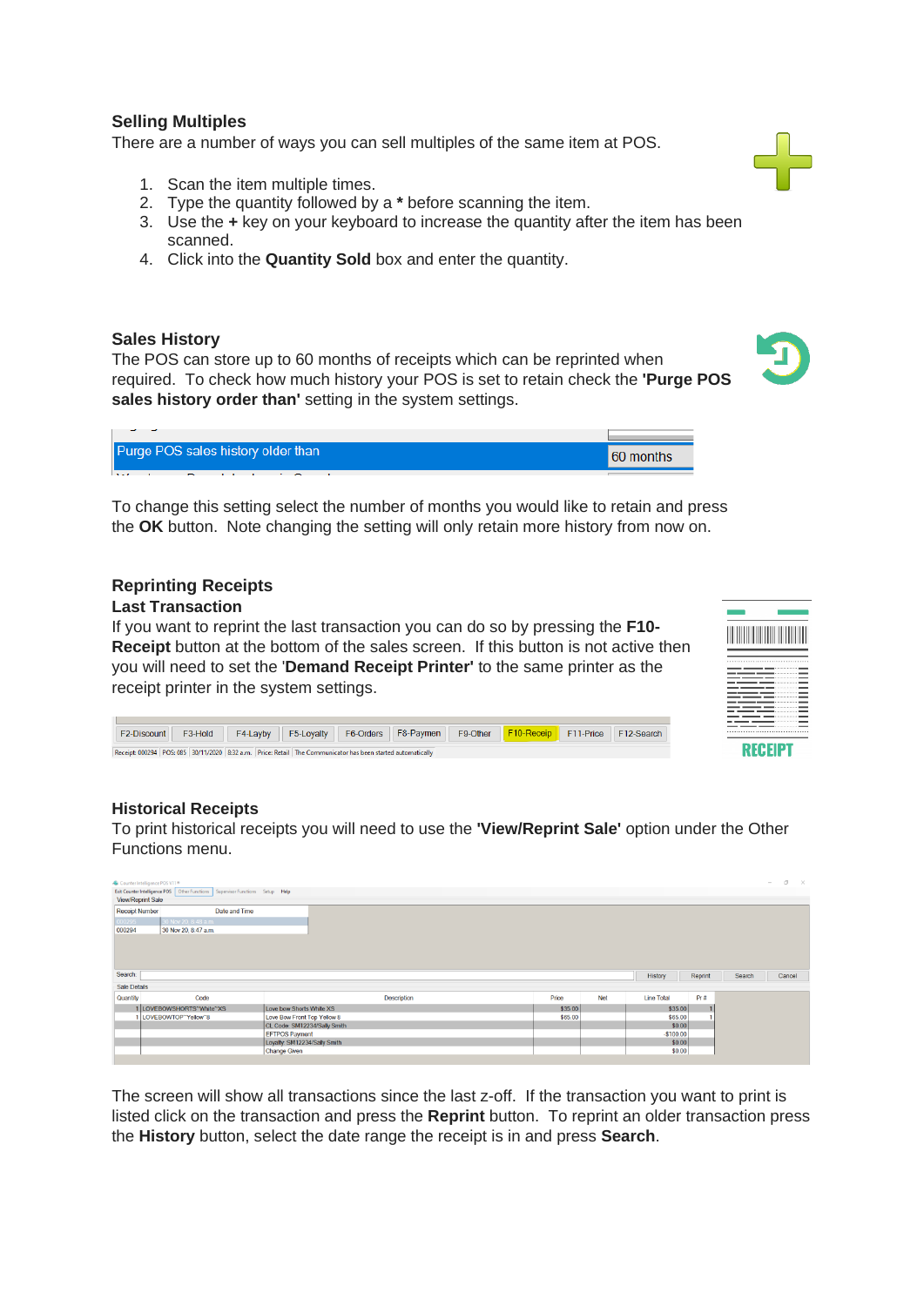# **Selling Multiples**

There are a number of ways you can sell multiples of the same item at POS.

- 1. Scan the item multiple times.
- 2. Type the quantity followed by a **\*** before scanning the item.
- 3. Use the **+** key on your keyboard to increase the quantity after the item has been scanned.
- 4. Click into the **Quantity Sold** box and enter the quantity.

#### **Sales History**

The POS can store up to 60 months of receipts which can be reprinted when required. To check how much history your POS is set to retain check the **'Purge POS sales history order than'** setting in the system settings.



| Purge POS sales history older than | 60 months |
|------------------------------------|-----------|
| 1.1.7                              |           |

To change this setting select the number of months you would like to retain and press the **OK** button. Note changing the setting will only retain more history from now on.

#### **Reprinting Receipts**

#### **Last Transaction**

If you want to reprint the last transaction you can do so by pressing the **F10- Receipt** button at the bottom of the sales screen. If this button is not active then you will need to set the '**Demand Receipt Printer'** to the same printer as the receipt printer in the system settings.

|  | I |
|--|---|
|  |   |
|  |   |
|  |   |
|  |   |
|  |   |
|  |   |
|  |   |
|  |   |

F2-Discount F3-Hold F4-Layby F5-Loyalty F6-Orders F8-Paymen F9-Other F10-Receip F11-Price F12-Search Receipt: 000294 POS: 085 30/11/2020 8:32 a.m. Price: Retail The Communicator has been started automatically

#### **Historical Receipts**

To print historical receipts you will need to use the **'View/Reprint Sale'** option under the Other Functions menu.

| View/Reprint Sale     | Counter Intelligence POS V11®<br>Exit Counter Intelligence POS Other Functions Supervisor Functions Setup Help |                              |         |     |                   |         |        | $\sim$ | $\sigma$ $\times$ |
|-----------------------|----------------------------------------------------------------------------------------------------------------|------------------------------|---------|-----|-------------------|---------|--------|--------|-------------------|
| <b>Receipt Number</b> | Date and Time                                                                                                  |                              |         |     |                   |         |        |        |                   |
| 000295                | 30 Nov 20, 8:48 a.m.                                                                                           |                              |         |     |                   |         |        |        |                   |
| 000294                | 30 Nov 20, 8:47 a.m.                                                                                           |                              |         |     |                   |         |        |        |                   |
|                       |                                                                                                                |                              |         |     |                   |         |        |        |                   |
|                       |                                                                                                                |                              |         |     |                   |         |        |        |                   |
|                       |                                                                                                                |                              |         |     |                   |         |        |        |                   |
| Search:               |                                                                                                                |                              |         |     | History           | Reprint | Search |        | Cancel            |
| <b>Sale Details</b>   |                                                                                                                |                              |         |     |                   |         |        |        |                   |
| Quantity              | Code                                                                                                           | Description                  | Price   | Net | <b>Line Total</b> | Pr#     |        |        |                   |
|                       | 1 LOVEBOWSHORTS <sup>~</sup> White <sup>~</sup> XS                                                             | Love bow Shorts White XS     | \$35.00 |     | \$35.00           |         |        |        |                   |
|                       | 1 LOVEBOWTOP~Yellow~8                                                                                          | Love Bow Front Top Yellow 8  | \$65.00 |     | \$65.00           |         |        |        |                   |
|                       |                                                                                                                | CL Code: SM12234/Sally Smith |         |     | \$0.00            |         |        |        |                   |
|                       |                                                                                                                | <b>EFTPOS Payment</b>        |         |     | $-$100.00$        |         |        |        |                   |
|                       |                                                                                                                | Loyalty: SM12234/Sally Smith |         |     | \$0.00            |         |        |        |                   |
|                       |                                                                                                                | Change Given                 |         |     | \$0.00            |         |        |        |                   |

The screen will show all transactions since the last z-off. If the transaction you want to print is listed click on the transaction and press the **Reprint** button. To reprint an older transaction press the **History** button, select the date range the receipt is in and press **Search**.

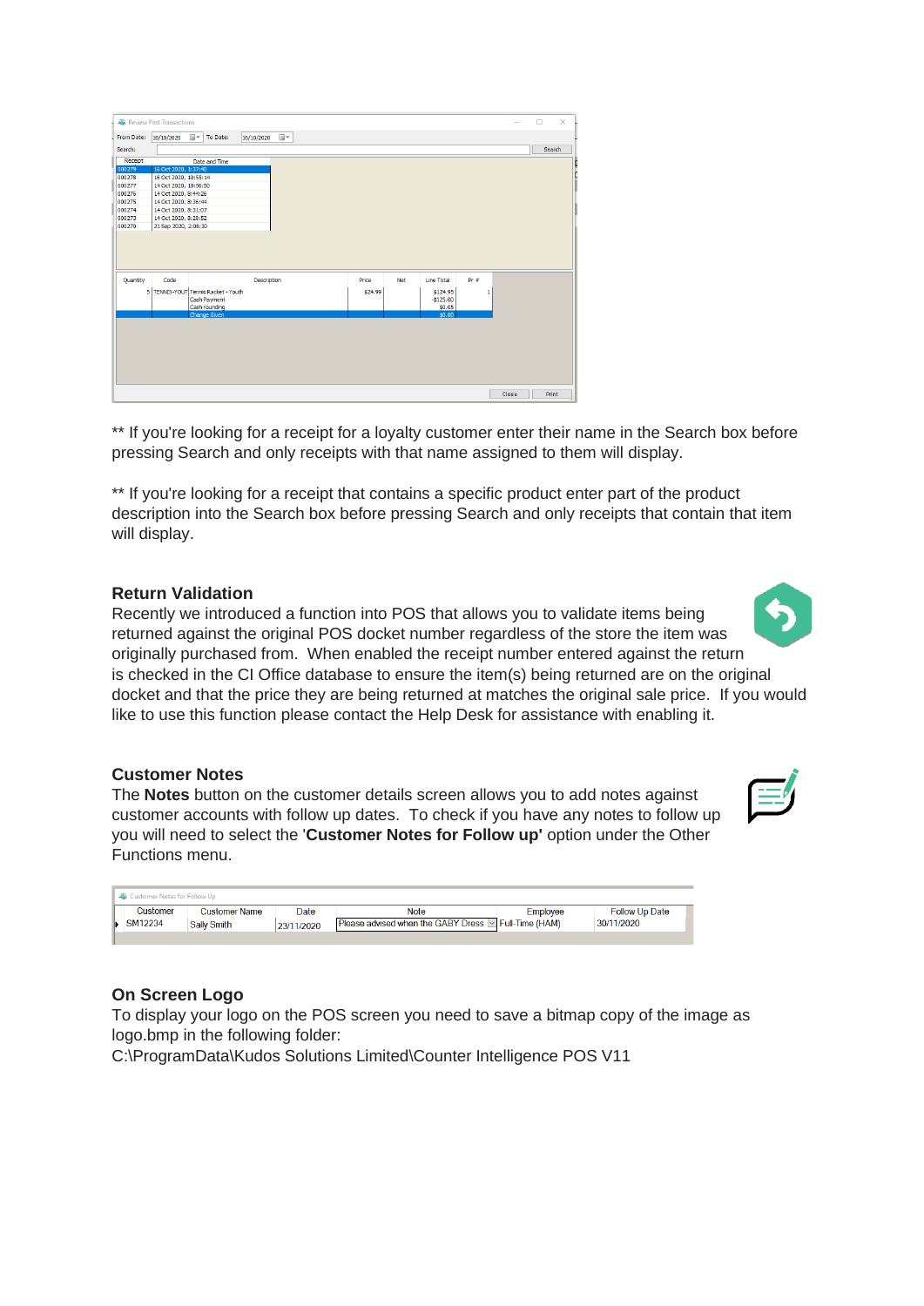| To Date:<br>16/10/2020<br>From Date:<br>Search:<br>Search<br>Receipt<br>Date and Time<br>000279<br>16 Oct 2020, 1:37:40<br>000278<br>16 Oct 2020, 10:55:14<br>000277<br>14 Oct 2020, 10:50:50<br>000276<br>14 Oct 2020, 8:44:26<br>000275<br>14 Oct 2020, 8:36:44<br>000274<br>14 Oct 2020, 8:31:07<br>000273<br>14 Oct 2020, 8:28:52<br>000270<br>21 Sep 2020, 2:08:30<br>Quantity<br>Code<br>Description<br>Net<br>Line Total<br>$Pr =$<br>Price<br>5 TENNIS-YOUT Tennis Racket - Youth<br>\$24.99<br>\$124.95<br>1<br>Cash Payment<br>$-$125.00$<br>Cash rounding<br>\$0.05<br>\$0.00<br>Change Given |  | 16/10/2020 | ⊞▼ |  |  |  |  |  |
|----------------------------------------------------------------------------------------------------------------------------------------------------------------------------------------------------------------------------------------------------------------------------------------------------------------------------------------------------------------------------------------------------------------------------------------------------------------------------------------------------------------------------------------------------------------------------------------------------------|--|------------|----|--|--|--|--|--|
|                                                                                                                                                                                                                                                                                                                                                                                                                                                                                                                                                                                                          |  |            |    |  |  |  |  |  |
|                                                                                                                                                                                                                                                                                                                                                                                                                                                                                                                                                                                                          |  |            |    |  |  |  |  |  |
|                                                                                                                                                                                                                                                                                                                                                                                                                                                                                                                                                                                                          |  |            |    |  |  |  |  |  |
|                                                                                                                                                                                                                                                                                                                                                                                                                                                                                                                                                                                                          |  |            |    |  |  |  |  |  |
|                                                                                                                                                                                                                                                                                                                                                                                                                                                                                                                                                                                                          |  |            |    |  |  |  |  |  |
|                                                                                                                                                                                                                                                                                                                                                                                                                                                                                                                                                                                                          |  |            |    |  |  |  |  |  |
|                                                                                                                                                                                                                                                                                                                                                                                                                                                                                                                                                                                                          |  |            |    |  |  |  |  |  |
|                                                                                                                                                                                                                                                                                                                                                                                                                                                                                                                                                                                                          |  |            |    |  |  |  |  |  |
|                                                                                                                                                                                                                                                                                                                                                                                                                                                                                                                                                                                                          |  |            |    |  |  |  |  |  |
|                                                                                                                                                                                                                                                                                                                                                                                                                                                                                                                                                                                                          |  |            |    |  |  |  |  |  |
|                                                                                                                                                                                                                                                                                                                                                                                                                                                                                                                                                                                                          |  |            |    |  |  |  |  |  |
|                                                                                                                                                                                                                                                                                                                                                                                                                                                                                                                                                                                                          |  |            |    |  |  |  |  |  |
|                                                                                                                                                                                                                                                                                                                                                                                                                                                                                                                                                                                                          |  |            |    |  |  |  |  |  |
|                                                                                                                                                                                                                                                                                                                                                                                                                                                                                                                                                                                                          |  |            |    |  |  |  |  |  |
|                                                                                                                                                                                                                                                                                                                                                                                                                                                                                                                                                                                                          |  |            |    |  |  |  |  |  |
|                                                                                                                                                                                                                                                                                                                                                                                                                                                                                                                                                                                                          |  |            |    |  |  |  |  |  |
|                                                                                                                                                                                                                                                                                                                                                                                                                                                                                                                                                                                                          |  |            |    |  |  |  |  |  |
|                                                                                                                                                                                                                                                                                                                                                                                                                                                                                                                                                                                                          |  |            |    |  |  |  |  |  |
|                                                                                                                                                                                                                                                                                                                                                                                                                                                                                                                                                                                                          |  |            |    |  |  |  |  |  |
|                                                                                                                                                                                                                                                                                                                                                                                                                                                                                                                                                                                                          |  |            |    |  |  |  |  |  |
|                                                                                                                                                                                                                                                                                                                                                                                                                                                                                                                                                                                                          |  |            |    |  |  |  |  |  |

\*\* If you're looking for a receipt for a loyalty customer enter their name in the Search box before pressing Search and only receipts with that name assigned to them will display.

\*\* If you're looking for a receipt that contains a specific product enter part of the product description into the Search box before pressing Search and only receipts that contain that item will display.

#### **Return Validation**

Recently we introduced a function into POS that allows you to validate items being returned against the original POS docket number regardless of the store the item was originally purchased from. When enabled the receipt number entered against the return is checked in the CI Office database to ensure the item(s) being returned are on the original docket and that the price they are being returned at matches the original sale price. If you would like to use this function please contact the Help Desk for assistance with enabling it.

# **Customer Notes**

The **Notes** button on the customer details screen allows you to add notes against customer accounts with follow up dates. To check if you have any notes to follow up you will need to select the '**Customer Notes for Follow up'** option under the Other Functions menu.

| Customer Notes for Follow Up |                      |            |                                                        |          |                       |
|------------------------------|----------------------|------------|--------------------------------------------------------|----------|-----------------------|
| Customer                     | <b>Customer Name</b> | Date       | <b>Note</b>                                            | Employee | <b>Follow Up Date</b> |
| SM12234                      | <b>Sally Smith</b>   | 23/11/2020 | Please advised when the GABY Dress  v  Full-Time (HAM) |          | 30/11/2020            |
|                              |                      |            |                                                        |          |                       |

# **On Screen Logo**

To display your logo on the POS screen you need to save a bitmap copy of the image as logo.bmp in the following folder:

C:\ProgramData\Kudos Solutions Limited\Counter Intelligence POS V11